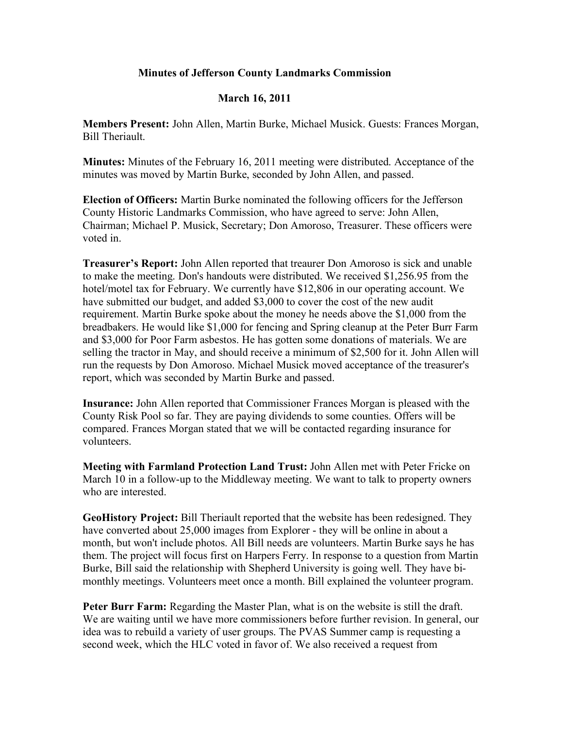## **Minutes of Jefferson County Landmarks Commission**

## **March 16, 2011**

**Members Present:** John Allen, Martin Burke, Michael Musick. Guests: Frances Morgan, Bill Theriault.

**Minutes:** Minutes of the February 16, 2011 meeting were distributed. Acceptance of the minutes was moved by Martin Burke, seconded by John Allen, and passed.

**Election of Officers:** Martin Burke nominated the following officers for the Jefferson County Historic Landmarks Commission, who have agreed to serve: John Allen, Chairman; Michael P. Musick, Secretary; Don Amoroso, Treasurer. These officers were voted in.

**Treasurer's Report:** John Allen reported that treaurer Don Amoroso is sick and unable to make the meeting. Don's handouts were distributed. We received \$1,256.95 from the hotel/motel tax for February. We currently have \$12,806 in our operating account. We have submitted our budget, and added \$3,000 to cover the cost of the new audit requirement. Martin Burke spoke about the money he needs above the \$1,000 from the breadbakers. He would like \$1,000 for fencing and Spring cleanup at the Peter Burr Farm and \$3,000 for Poor Farm asbestos. He has gotten some donations of materials. We are selling the tractor in May, and should receive a minimum of \$2,500 for it. John Allen will run the requests by Don Amoroso. Michael Musick moved acceptance of the treasurer's report, which was seconded by Martin Burke and passed.

**Insurance:** John Allen reported that Commissioner Frances Morgan is pleased with the County Risk Pool so far. They are paying dividends to some counties. Offers will be compared. Frances Morgan stated that we will be contacted regarding insurance for volunteers.

**Meeting with Farmland Protection Land Trust:** John Allen met with Peter Fricke on March 10 in a follow-up to the Middleway meeting. We want to talk to property owners who are interested.

**GeoHistory Project:** Bill Theriault reported that the website has been redesigned. They have converted about 25,000 images from Explorer - they will be online in about a month, but won't include photos. All Bill needs are volunteers. Martin Burke says he has them. The project will focus first on Harpers Ferry. In response to a question from Martin Burke, Bill said the relationship with Shepherd University is going well. They have bimonthly meetings. Volunteers meet once a month. Bill explained the volunteer program.

**Peter Burr Farm:** Regarding the Master Plan, what is on the website is still the draft. We are waiting until we have more commissioners before further revision. In general, our idea was to rebuild a variety of user groups. The PVAS Summer camp is requesting a second week, which the HLC voted in favor of. We also received a request from